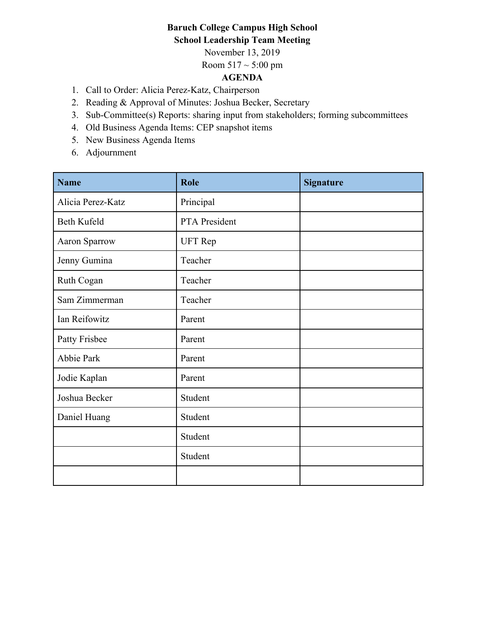# **Baruch College Campus High School School Leadership Team Meeting**

November 13, 2019

Room  $517 \sim 5:00 \text{ pm}$ 

# **AGENDA**

- 1. Call to Order: Alicia Perez-Katz, Chairperson
- 2. Reading & Approval of Minutes: Joshua Becker, Secretary
- 3. Sub-Committee(s) Reports: sharing input from stakeholders; forming subcommittees
- 4. Old Business Agenda Items: CEP snapshot items
- 5. New Business Agenda Items
- 6. Adjournment

| <b>Name</b>       | Role           | <b>Signature</b> |
|-------------------|----------------|------------------|
| Alicia Perez-Katz | Principal      |                  |
| Beth Kufeld       | PTA President  |                  |
| Aaron Sparrow     | <b>UFT</b> Rep |                  |
| Jenny Gumina      | Teacher        |                  |
| Ruth Cogan        | Teacher        |                  |
| Sam Zimmerman     | Teacher        |                  |
| Ian Reifowitz     | Parent         |                  |
| Patty Frisbee     | Parent         |                  |
| Abbie Park        | Parent         |                  |
| Jodie Kaplan      | Parent         |                  |
| Joshua Becker     | Student        |                  |
| Daniel Huang      | Student        |                  |
|                   | Student        |                  |
|                   | Student        |                  |
|                   |                |                  |